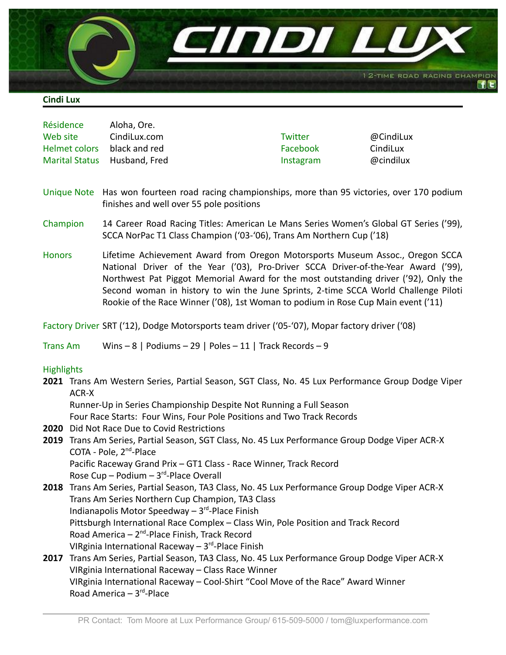

## **Cindi Lux**

| Aloha, Ore.   |                              |           |
|---------------|------------------------------|-----------|
| CindiLux.com  | Twitter                      | @CindiLux |
| black and red | Facebook                     | CindiLux  |
|               | Instagram                    | @cindilux |
|               | Marital Status Husband, Fred |           |

- Unique Note Has won fourteen road racing championships, more than 95 victories, over 170 podium finishes and well over 55 pole positions
- Champion 14 Career Road Racing Titles: American Le Mans Series Women's Global GT Series ('99), SCCA NorPac T1 Class Champion ('03-'06), Trans Am Northern Cup ('18)
- Honors Lifetime Achievement Award from Oregon Motorsports Museum Assoc., Oregon SCCA National Driver of the Year ('03), Pro-Driver SCCA Driver-of-the-Year Award ('99), Northwest Pat Piggot Memorial Award for the most outstanding driver ('92), Only the Second woman in history to win the June Sprints, 2-time SCCA World Challenge Piloti Rookie of the Race Winner ('08), 1st Woman to podium in Rose Cup Main event ('11)

Factory Driver SRT ('12), Dodge Motorsports team driver ('05-'07), Mopar factory driver ('08)

Trans Am Wins – 8 | Podiums – 29 | Poles – 11 | Track Records – 9

## **Highlights**

**2021** Trans Am Western Series, Partial Season, SGT Class, No. 45 Lux Performance Group Dodge Viper ACR-X

Runner-Up in Series Championship Despite Not Running a Full Season

Four Race Starts: Four Wins, Four Pole Positions and Two Track Records

- **2020** Did Not Race Due to Covid Restrictions
- **2019** Trans Am Series, Partial Season, SGT Class, No. 45 Lux Performance Group Dodge Viper ACR-X COTA - Pole, 2<sup>nd</sup>-Place Pacific Raceway Grand Prix – GT1 Class - Race Winner, Track Record Rose Cup  $-$  Podium  $-3<sup>rd</sup>$ -Place Overall
- **2018** Trans Am Series, Partial Season, TA3 Class, No. 45 Lux Performance Group Dodge Viper ACR-X Trans Am Series Northern Cup Champion, TA3 Class Indianapolis Motor Speedway - 3<sup>rd</sup>-Place Finish Pittsburgh International Race Complex – Class Win, Pole Position and Track Record Road America - 2<sup>nd</sup>-Place Finish, Track Record VIRginia International Raceway - 3<sup>rd</sup>-Place Finish
- **2017** Trans Am Series, Partial Season, TA3 Class, No. 45 Lux Performance Group Dodge Viper ACR-X VIRginia International Raceway – Class Race Winner VIRginia International Raceway – Cool-Shirt "Cool Move of the Race" Award Winner Road America – 3<sup>rd</sup>-Place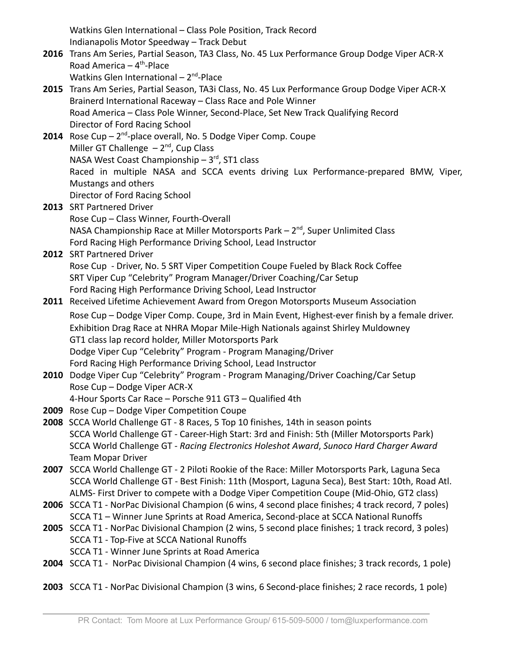Watkins Glen International – Class Pole Position, Track Record Indianapolis Motor Speedway – Track Debut

- **2016** Trans Am Series, Partial Season, TA3 Class, No. 45 Lux Performance Group Dodge Viper ACR-X Road America  $-4$ <sup>th</sup>-Place Watkins Glen International - 2<sup>nd</sup>-Place
- **2015** Trans Am Series, Partial Season, TA3i Class, No. 45 Lux Performance Group Dodge Viper ACR-X Brainerd International Raceway – Class Race and Pole Winner Road America – Class Pole Winner, Second-Place, Set New Track Qualifying Record Director of Ford Racing School
- 2014 Rose Cup 2<sup>nd</sup>-place overall, No. 5 Dodge Viper Comp. Coupe Miller GT Challenge  $-2^{nd}$ , Cup Class NASA West Coast Championship  $-3<sup>rd</sup>$ , ST1 class Raced in multiple NASA and SCCA events driving Lux Performance-prepared BMW, Viper, Mustangs and others Director of Ford Racing School
- **2013** SRT Partnered Driver Rose Cup – Class Winner, Fourth-Overall NASA Championship Race at Miller Motorsports Park  $-2<sup>nd</sup>$ , Super Unlimited Class Ford Racing High Performance Driving School, Lead Instructor
- **2012** SRT Partnered Driver Rose Cup - Driver, No. 5 SRT Viper Competition Coupe Fueled by Black Rock Coffee SRT Viper Cup "Celebrity" Program Manager/Driver Coaching/Car Setup Ford Racing High Performance Driving School, Lead Instructor
- **2011** Received Lifetime Achievement Award from Oregon Motorsports Museum Association Rose Cup – Dodge Viper Comp. Coupe, 3rd in Main Event, Highest-ever finish by a female driver. Exhibition Drag Race at NHRA Mopar Mile-High Nationals against Shirley Muldowney GT1 class lap record holder, Miller Motorsports Park
	- Dodge Viper Cup "Celebrity" Program Program Managing/Driver Ford Racing High Performance Driving School, Lead Instructor
- **2010** Dodge Viper Cup "Celebrity" Program Program Managing/Driver Coaching/Car Setup Rose Cup – Dodge Viper ACR-X
	- 4-Hour Sports Car Race Porsche 911 GT3 Qualified 4th
- **2009** Rose Cup Dodge Viper Competition Coupe
- **2008** SCCA World Challenge GT 8 Races, 5 Top 10 finishes, 14th in season points SCCA World Challenge GT - Career-High Start: 3rd and Finish: 5th (Miller Motorsports Park) SCCA World Challenge GT - *Racing Electronics Holeshot Award*, *Sunoco Hard Charger Award* Team Mopar Driver
- **2007** SCCA World Challenge GT 2 Piloti Rookie of the Race: Miller Motorsports Park, Laguna Seca SCCA World Challenge GT - Best Finish: 11th (Mosport, Laguna Seca), Best Start: 10th, Road Atl. ALMS- First Driver to compete with a Dodge Viper Competition Coupe (Mid-Ohio, GT2 class)
- **2006** SCCA T1 NorPac Divisional Champion (6 wins, 4 second place finishes; 4 track record, 7 poles) SCCA T1 – Winner June Sprints at Road America, Second-place at SCCA National Runoffs
- **2005** SCCA T1 NorPac Divisional Champion (2 wins, 5 second place finishes; 1 track record, 3 poles) SCCA T1 - Top-Five at SCCA National Runoffs SCCA T1 - Winner June Sprints at Road America
- **2004** SCCA T1 NorPac Divisional Champion (4 wins, 6 second place finishes; 3 track records, 1 pole)
- **2003** SCCA T1 NorPac Divisional Champion (3 wins, 6 Second-place finishes; 2 race records, 1 pole)